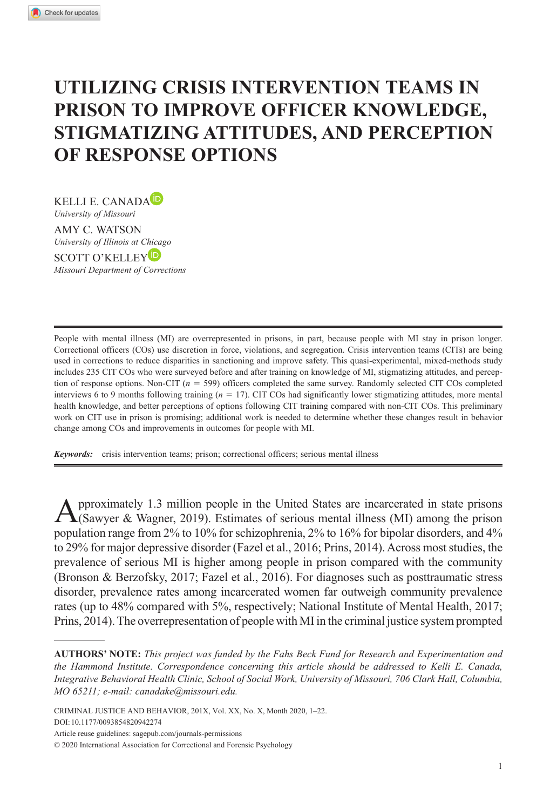# **Utilizing Crisis Intervention Teams in Prison to Improve Officer Knowledge, Stigmatizing Attitudes, and Perception of Response Options**

KELLI E. CANADA<sup>D</sup> *University of Missouri*

AMY C. WATSON *University of Illinois at Chicago*

SCOTT O'KELLEY<sup>D</sup> *Missouri Department of Corrections*

People with mental illness (MI) are overrepresented in prisons, in part, because people with MI stay in prison longer. Correctional officers (COs) use discretion in force, violations, and segregation. Crisis intervention teams (CITs) are being used in corrections to reduce disparities in sanctioning and improve safety. This quasi-experimental, mixed-methods study includes 235 CIT COs who were surveyed before and after training on knowledge of MI, stigmatizing attitudes, and perception of response options. Non-CIT (*n* = 599) officers completed the same survey. Randomly selected CIT COs completed interviews 6 to 9 months following training (*n* = 17). CIT COs had significantly lower stigmatizing attitudes, more mental health knowledge, and better perceptions of options following CIT training compared with non-CIT COs. This preliminary work on CIT use in prison is promising; additional work is needed to determine whether these changes result in behavior change among COs and improvements in outcomes for people with MI.

*Keywords:* crisis intervention teams; prison; correctional officers; serious mental illness

Approximately 1.3 million people in the United States are incarcerated in state prisons (Sawyer & Wagner, 2019). Estimates of serious mental illness (MI) among the prison population range from 2% to 10% for schizophrenia, 2% to 16% for bipolar disorders, and 4% to 29% for major depressive disorder (Fazel et al., 2016; Prins, 2014). Across most studies, the prevalence of serious MI is higher among people in prison compared with the community (Bronson & Berzofsky, 2017; Fazel et al., 2016). For diagnoses such as posttraumatic stress disorder, prevalence rates among incarcerated women far outweigh community prevalence rates (up to 48% compared with 5%, respectively; National Institute of Mental Health, 2017; Prins, 2014). The overrepresentation of people with MI in the criminal justice system prompted

**AUTHORS' NOTE:** *This project was funded by the Fahs Beck Fund for Research and Experimentation and the Hammond Institute. Correspondence concerning this article should be addressed to Kelli E. Canada, Integrative Behavioral Health Clinic, School of Social Work, University of Missouri, 706 Clark Hall, Columbia, MO 65211; e-mail: [canadake@missouri.edu](mailto:canadake@missouri.edu).*

CRIMINAL JUSTICE AND BEHAVIOR, 201X, Vol. XX, No. X, Month 2020, 1–22. DOI: 10.1177/0093854820942274

Article reuse guidelines: [sagepub.com/journals-permissions](https://us.sagepub.com/en-us/journals-permissions)

© 2020 International Association for Correctional and Forensic Psychology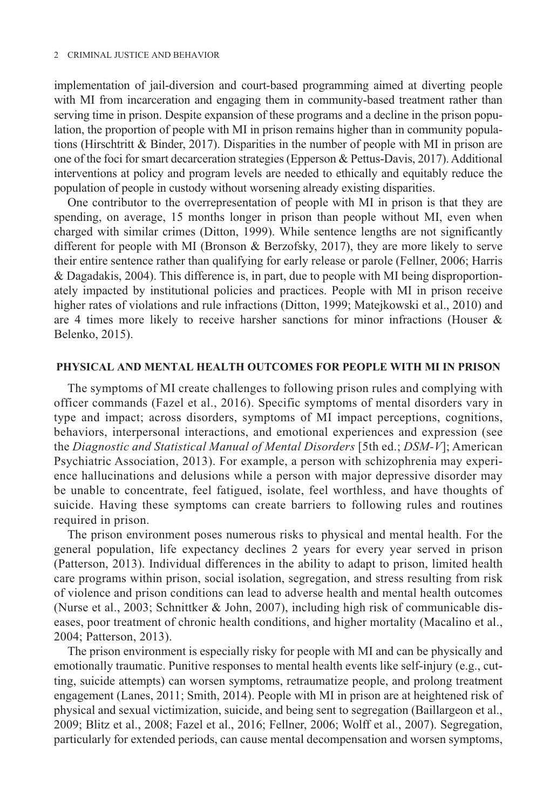implementation of jail-diversion and court-based programming aimed at diverting people with MI from incarceration and engaging them in community-based treatment rather than serving time in prison. Despite expansion of these programs and a decline in the prison population, the proportion of people with MI in prison remains higher than in community populations (Hirschtritt & Binder, 2017). Disparities in the number of people with MI in prison are one of the foci for smart decarceration strategies (Epperson & Pettus-Davis, 2017). Additional interventions at policy and program levels are needed to ethically and equitably reduce the population of people in custody without worsening already existing disparities.

One contributor to the overrepresentation of people with MI in prison is that they are spending, on average, 15 months longer in prison than people without MI, even when charged with similar crimes (Ditton, 1999). While sentence lengths are not significantly different for people with MI (Bronson & Berzofsky, 2017), they are more likely to serve their entire sentence rather than qualifying for early release or parole (Fellner, 2006; Harris & Dagadakis, 2004). This difference is, in part, due to people with MI being disproportionately impacted by institutional policies and practices. People with MI in prison receive higher rates of violations and rule infractions (Ditton, 1999; Matejkowski et al., 2010) and are 4 times more likely to receive harsher sanctions for minor infractions (Houser & Belenko, 2015).

## **Physical and Mental Health Outcomes for People With MI in Prison**

The symptoms of MI create challenges to following prison rules and complying with officer commands (Fazel et al., 2016). Specific symptoms of mental disorders vary in type and impact; across disorders, symptoms of MI impact perceptions, cognitions, behaviors, interpersonal interactions, and emotional experiences and expression (see the *Diagnostic and Statistical Manual of Mental Disorders* [5th ed.; *DSM-V*]; American Psychiatric Association, 2013). For example, a person with schizophrenia may experience hallucinations and delusions while a person with major depressive disorder may be unable to concentrate, feel fatigued, isolate, feel worthless, and have thoughts of suicide. Having these symptoms can create barriers to following rules and routines required in prison.

The prison environment poses numerous risks to physical and mental health. For the general population, life expectancy declines 2 years for every year served in prison (Patterson, 2013). Individual differences in the ability to adapt to prison, limited health care programs within prison, social isolation, segregation, and stress resulting from risk of violence and prison conditions can lead to adverse health and mental health outcomes (Nurse et al., 2003; Schnittker & John, 2007), including high risk of communicable diseases, poor treatment of chronic health conditions, and higher mortality (Macalino et al., 2004; Patterson, 2013).

The prison environment is especially risky for people with MI and can be physically and emotionally traumatic. Punitive responses to mental health events like self-injury (e.g., cutting, suicide attempts) can worsen symptoms, retraumatize people, and prolong treatment engagement (Lanes, 2011; Smith, 2014). People with MI in prison are at heightened risk of physical and sexual victimization, suicide, and being sent to segregation (Baillargeon et al., 2009; Blitz et al., 2008; Fazel et al., 2016; Fellner, 2006; Wolff et al., 2007). Segregation, particularly for extended periods, can cause mental decompensation and worsen symptoms,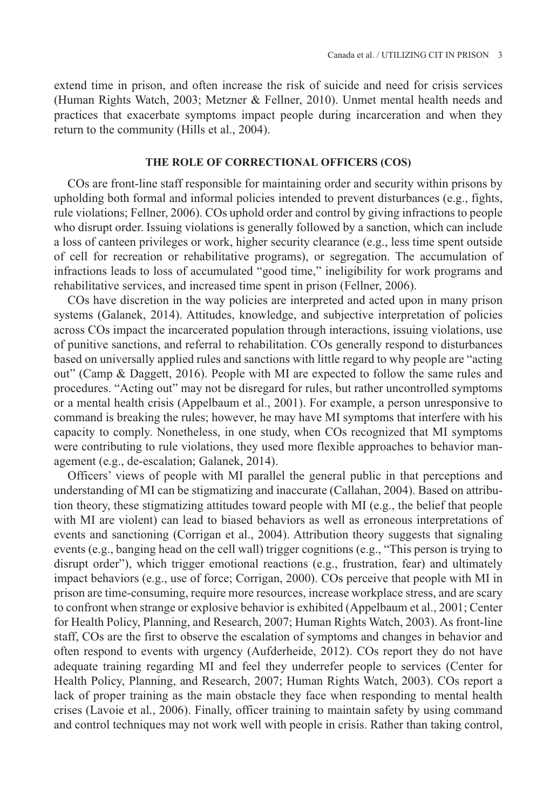extend time in prison, and often increase the risk of suicide and need for crisis services (Human Rights Watch, 2003; Metzner & Fellner, 2010). Unmet mental health needs and practices that exacerbate symptoms impact people during incarceration and when they return to the community (Hills et al., 2004).

## **The Role of Correctional Officers (COs)**

COs are front-line staff responsible for maintaining order and security within prisons by upholding both formal and informal policies intended to prevent disturbances (e.g., fights, rule violations; Fellner, 2006). COs uphold order and control by giving infractions to people who disrupt order. Issuing violations is generally followed by a sanction, which can include a loss of canteen privileges or work, higher security clearance (e.g., less time spent outside of cell for recreation or rehabilitative programs), or segregation. The accumulation of infractions leads to loss of accumulated "good time," ineligibility for work programs and rehabilitative services, and increased time spent in prison (Fellner, 2006).

COs have discretion in the way policies are interpreted and acted upon in many prison systems (Galanek, 2014). Attitudes, knowledge, and subjective interpretation of policies across COs impact the incarcerated population through interactions, issuing violations, use of punitive sanctions, and referral to rehabilitation. COs generally respond to disturbances based on universally applied rules and sanctions with little regard to why people are "acting out" (Camp & Daggett, 2016). People with MI are expected to follow the same rules and procedures. "Acting out" may not be disregard for rules, but rather uncontrolled symptoms or a mental health crisis (Appelbaum et al., 2001). For example, a person unresponsive to command is breaking the rules; however, he may have MI symptoms that interfere with his capacity to comply. Nonetheless, in one study, when COs recognized that MI symptoms were contributing to rule violations, they used more flexible approaches to behavior management (e.g., de-escalation; Galanek, 2014).

Officers' views of people with MI parallel the general public in that perceptions and understanding of MI can be stigmatizing and inaccurate (Callahan, 2004). Based on attribution theory, these stigmatizing attitudes toward people with MI (e.g., the belief that people with MI are violent) can lead to biased behaviors as well as erroneous interpretations of events and sanctioning (Corrigan et al., 2004). Attribution theory suggests that signaling events (e.g., banging head on the cell wall) trigger cognitions (e.g., "This person is trying to disrupt order"), which trigger emotional reactions (e.g., frustration, fear) and ultimately impact behaviors (e.g., use of force; Corrigan, 2000). COs perceive that people with MI in prison are time-consuming, require more resources, increase workplace stress, and are scary to confront when strange or explosive behavior is exhibited (Appelbaum et al., 2001; Center for Health Policy, Planning, and Research, 2007; Human Rights Watch, 2003). As front-line staff, COs are the first to observe the escalation of symptoms and changes in behavior and often respond to events with urgency (Aufderheide, 2012). COs report they do not have adequate training regarding MI and feel they underrefer people to services (Center for Health Policy, Planning, and Research, 2007; Human Rights Watch, 2003). COs report a lack of proper training as the main obstacle they face when responding to mental health crises (Lavoie et al., 2006). Finally, officer training to maintain safety by using command and control techniques may not work well with people in crisis. Rather than taking control,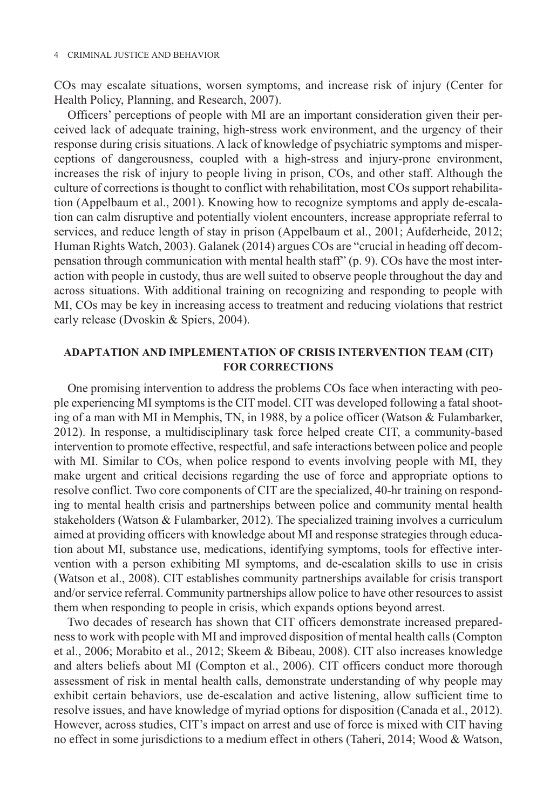COs may escalate situations, worsen symptoms, and increase risk of injury (Center for Health Policy, Planning, and Research, 2007).

Officers' perceptions of people with MI are an important consideration given their perceived lack of adequate training, high-stress work environment, and the urgency of their response during crisis situations. A lack of knowledge of psychiatric symptoms and misperceptions of dangerousness, coupled with a high-stress and injury-prone environment, increases the risk of injury to people living in prison, COs, and other staff. Although the culture of corrections is thought to conflict with rehabilitation, most COs support rehabilitation (Appelbaum et al., 2001). Knowing how to recognize symptoms and apply de-escalation can calm disruptive and potentially violent encounters, increase appropriate referral to services, and reduce length of stay in prison (Appelbaum et al., 2001; Aufderheide, 2012; Human Rights Watch, 2003). Galanek (2014) argues COs are "crucial in heading off decompensation through communication with mental health staff" (p. 9). COs have the most interaction with people in custody, thus are well suited to observe people throughout the day and across situations. With additional training on recognizing and responding to people with MI, COs may be key in increasing access to treatment and reducing violations that restrict early release (Dvoskin & Spiers, 2004).

## **Adaptation and Implementation of Crisis Intervention Team (CIT) for Corrections**

One promising intervention to address the problems COs face when interacting with people experiencing MI symptoms is the CIT model. CIT was developed following a fatal shooting of a man with MI in Memphis, TN, in 1988, by a police officer (Watson & Fulambarker, 2012). In response, a multidisciplinary task force helped create CIT, a community-based intervention to promote effective, respectful, and safe interactions between police and people with MI. Similar to COs, when police respond to events involving people with MI, they make urgent and critical decisions regarding the use of force and appropriate options to resolve conflict. Two core components of CIT are the specialized, 40-hr training on responding to mental health crisis and partnerships between police and community mental health stakeholders (Watson & Fulambarker, 2012). The specialized training involves a curriculum aimed at providing officers with knowledge about MI and response strategies through education about MI, substance use, medications, identifying symptoms, tools for effective intervention with a person exhibiting MI symptoms, and de-escalation skills to use in crisis (Watson et al., 2008). CIT establishes community partnerships available for crisis transport and/or service referral. Community partnerships allow police to have other resources to assist them when responding to people in crisis, which expands options beyond arrest.

Two decades of research has shown that CIT officers demonstrate increased preparedness to work with people with MI and improved disposition of mental health calls (Compton et al., 2006; Morabito et al., 2012; Skeem & Bibeau, 2008). CIT also increases knowledge and alters beliefs about MI (Compton et al., 2006). CIT officers conduct more thorough assessment of risk in mental health calls, demonstrate understanding of why people may exhibit certain behaviors, use de-escalation and active listening, allow sufficient time to resolve issues, and have knowledge of myriad options for disposition (Canada et al., 2012). However, across studies, CIT's impact on arrest and use of force is mixed with CIT having no effect in some jurisdictions to a medium effect in others (Taheri, 2014; Wood & Watson,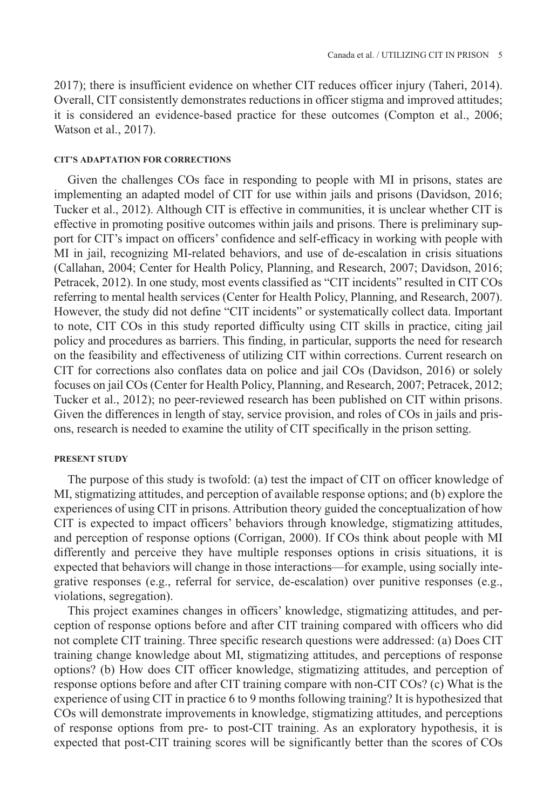2017); there is insufficient evidence on whether CIT reduces officer injury (Taheri, 2014). Overall, CIT consistently demonstrates reductions in officer stigma and improved attitudes; it is considered an evidence-based practice for these outcomes (Compton et al., 2006; Watson et al., 2017).

#### **CIT's Adaptation for Corrections**

Given the challenges COs face in responding to people with MI in prisons, states are implementing an adapted model of CIT for use within jails and prisons (Davidson, 2016; Tucker et al., 2012). Although CIT is effective in communities, it is unclear whether CIT is effective in promoting positive outcomes within jails and prisons. There is preliminary support for CIT's impact on officers' confidence and self-efficacy in working with people with MI in jail, recognizing MI-related behaviors, and use of de-escalation in crisis situations (Callahan, 2004; Center for Health Policy, Planning, and Research, 2007; Davidson, 2016; Petracek, 2012). In one study, most events classified as "CIT incidents" resulted in CIT COs referring to mental health services (Center for Health Policy, Planning, and Research, 2007). However, the study did not define "CIT incidents" or systematically collect data. Important to note, CIT COs in this study reported difficulty using CIT skills in practice, citing jail policy and procedures as barriers. This finding, in particular, supports the need for research on the feasibility and effectiveness of utilizing CIT within corrections. Current research on CIT for corrections also conflates data on police and jail COs (Davidson, 2016) or solely focuses on jail COs (Center for Health Policy, Planning, and Research, 2007; Petracek, 2012; Tucker et al., 2012); no peer-reviewed research has been published on CIT within prisons. Given the differences in length of stay, service provision, and roles of COs in jails and prisons, research is needed to examine the utility of CIT specifically in the prison setting.

### **Present Study**

The purpose of this study is twofold: (a) test the impact of CIT on officer knowledge of MI, stigmatizing attitudes, and perception of available response options; and (b) explore the experiences of using CIT in prisons. Attribution theory guided the conceptualization of how CIT is expected to impact officers' behaviors through knowledge, stigmatizing attitudes, and perception of response options (Corrigan, 2000). If COs think about people with MI differently and perceive they have multiple responses options in crisis situations, it is expected that behaviors will change in those interactions—for example, using socially integrative responses (e.g., referral for service, de-escalation) over punitive responses (e.g., violations, segregation).

This project examines changes in officers' knowledge, stigmatizing attitudes, and perception of response options before and after CIT training compared with officers who did not complete CIT training. Three specific research questions were addressed: (a) Does CIT training change knowledge about MI, stigmatizing attitudes, and perceptions of response options? (b) How does CIT officer knowledge, stigmatizing attitudes, and perception of response options before and after CIT training compare with non-CIT COs? (c) What is the experience of using CIT in practice 6 to 9 months following training? It is hypothesized that COs will demonstrate improvements in knowledge, stigmatizing attitudes, and perceptions of response options from pre- to post-CIT training. As an exploratory hypothesis, it is expected that post-CIT training scores will be significantly better than the scores of COs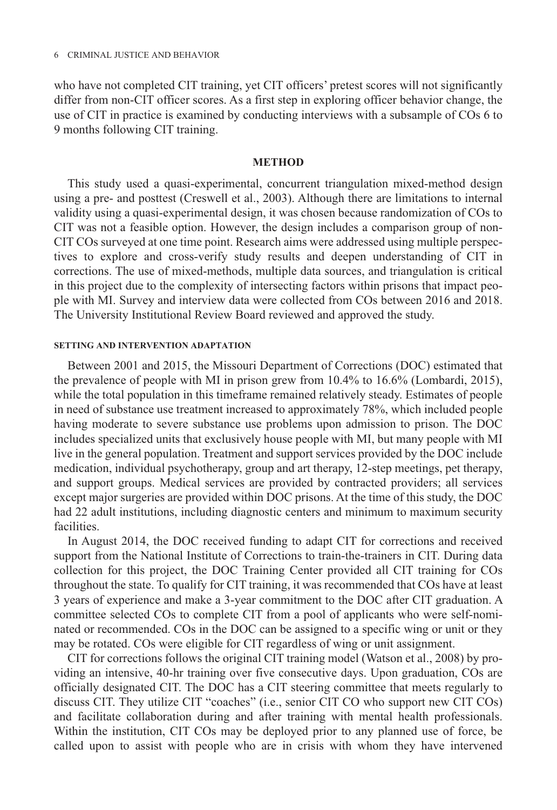who have not completed CIT training, yet CIT officers' pretest scores will not significantly differ from non-CIT officer scores. As a first step in exploring officer behavior change, the use of CIT in practice is examined by conducting interviews with a subsample of COs 6 to 9 months following CIT training.

#### **Method**

This study used a quasi-experimental, concurrent triangulation mixed-method design using a pre- and posttest (Creswell et al., 2003). Although there are limitations to internal validity using a quasi-experimental design, it was chosen because randomization of COs to CIT was not a feasible option. However, the design includes a comparison group of non-CIT COs surveyed at one time point. Research aims were addressed using multiple perspectives to explore and cross-verify study results and deepen understanding of CIT in corrections. The use of mixed-methods, multiple data sources, and triangulation is critical in this project due to the complexity of intersecting factors within prisons that impact people with MI. Survey and interview data were collected from COs between 2016 and 2018. The University Institutional Review Board reviewed and approved the study.

#### **Setting and Intervention Adaptation**

Between 2001 and 2015, the Missouri Department of Corrections (DOC) estimated that the prevalence of people with MI in prison grew from 10.4% to 16.6% (Lombardi, 2015), while the total population in this timeframe remained relatively steady. Estimates of people in need of substance use treatment increased to approximately 78%, which included people having moderate to severe substance use problems upon admission to prison. The DOC includes specialized units that exclusively house people with MI, but many people with MI live in the general population. Treatment and support services provided by the DOC include medication, individual psychotherapy, group and art therapy, 12-step meetings, pet therapy, and support groups. Medical services are provided by contracted providers; all services except major surgeries are provided within DOC prisons. At the time of this study, the DOC had 22 adult institutions, including diagnostic centers and minimum to maximum security facilities.

In August 2014, the DOC received funding to adapt CIT for corrections and received support from the National Institute of Corrections to train-the-trainers in CIT. During data collection for this project, the DOC Training Center provided all CIT training for COs throughout the state. To qualify for CIT training, it was recommended that COs have at least 3 years of experience and make a 3-year commitment to the DOC after CIT graduation. A committee selected COs to complete CIT from a pool of applicants who were self-nominated or recommended. COs in the DOC can be assigned to a specific wing or unit or they may be rotated. COs were eligible for CIT regardless of wing or unit assignment.

CIT for corrections follows the original CIT training model (Watson et al., 2008) by providing an intensive, 40-hr training over five consecutive days. Upon graduation, COs are officially designated CIT. The DOC has a CIT steering committee that meets regularly to discuss CIT. They utilize CIT "coaches" (i.e., senior CIT CO who support new CIT COs) and facilitate collaboration during and after training with mental health professionals. Within the institution, CIT COs may be deployed prior to any planned use of force, be called upon to assist with people who are in crisis with whom they have intervened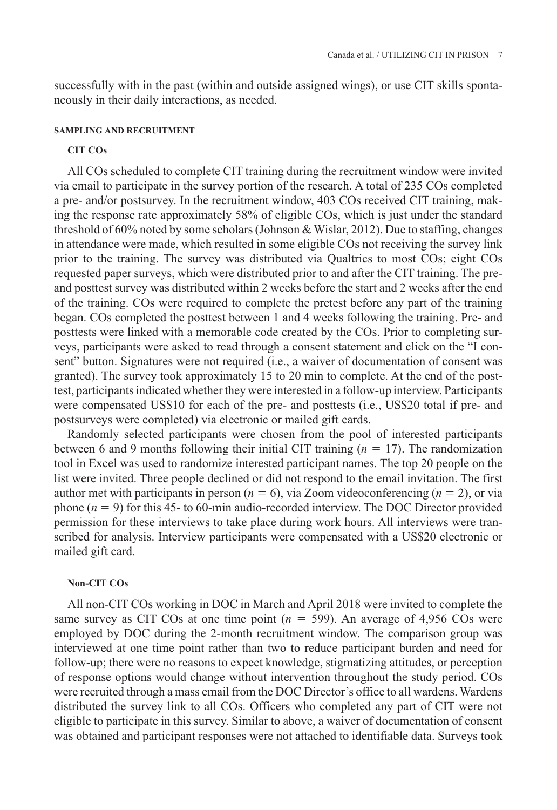successfully with in the past (within and outside assigned wings), or use CIT skills spontaneously in their daily interactions, as needed.

## **Sampling and Recruitment**

## **CIT COs**

All COs scheduled to complete CIT training during the recruitment window were invited via email to participate in the survey portion of the research. A total of 235 COs completed a pre- and/or postsurvey. In the recruitment window, 403 COs received CIT training, making the response rate approximately 58% of eligible COs, which is just under the standard threshold of 60% noted by some scholars (Johnson & Wislar, 2012). Due to staffing, changes in attendance were made, which resulted in some eligible COs not receiving the survey link prior to the training. The survey was distributed via Qualtrics to most COs; eight COs requested paper surveys, which were distributed prior to and after the CIT training. The preand posttest survey was distributed within 2 weeks before the start and 2 weeks after the end of the training. COs were required to complete the pretest before any part of the training began. COs completed the posttest between 1 and 4 weeks following the training. Pre- and posttests were linked with a memorable code created by the COs. Prior to completing surveys, participants were asked to read through a consent statement and click on the "I consent" button. Signatures were not required (i.e., a waiver of documentation of consent was granted). The survey took approximately 15 to 20 min to complete. At the end of the posttest, participants indicated whether they were interested in a follow-up interview. Participants were compensated US\$10 for each of the pre- and posttests (i.e., US\$20 total if pre- and postsurveys were completed) via electronic or mailed gift cards.

Randomly selected participants were chosen from the pool of interested participants between 6 and 9 months following their initial CIT training (*n* = 17). The randomization tool in Excel was used to randomize interested participant names. The top 20 people on the list were invited. Three people declined or did not respond to the email invitation. The first author met with participants in person ( $n = 6$ ), via Zoom videoconferencing ( $n = 2$ ), or via phone  $(n = 9)$  for this 45- to 60-min audio-recorded interview. The DOC Director provided permission for these interviews to take place during work hours. All interviews were transcribed for analysis. Interview participants were compensated with a US\$20 electronic or mailed gift card.

### **Non-CIT COs**

All non-CIT COs working in DOC in March and April 2018 were invited to complete the same survey as CIT COs at one time point  $(n = 599)$ . An average of 4,956 COs were employed by DOC during the 2-month recruitment window. The comparison group was interviewed at one time point rather than two to reduce participant burden and need for follow-up; there were no reasons to expect knowledge, stigmatizing attitudes, or perception of response options would change without intervention throughout the study period. COs were recruited through a mass email from the DOC Director's office to all wardens. Wardens distributed the survey link to all COs. Officers who completed any part of CIT were not eligible to participate in this survey. Similar to above, a waiver of documentation of consent was obtained and participant responses were not attached to identifiable data. Surveys took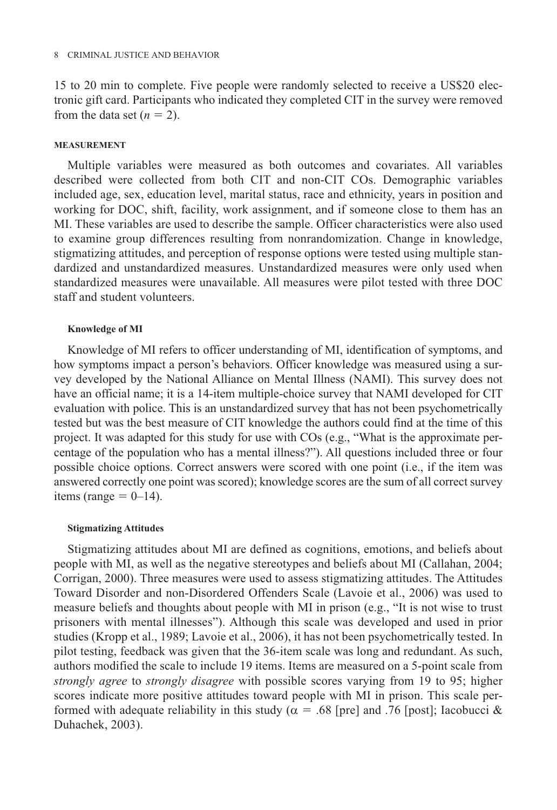15 to 20 min to complete. Five people were randomly selected to receive a US\$20 electronic gift card. Participants who indicated they completed CIT in the survey were removed from the data set  $(n = 2)$ .

## **Measurement**

Multiple variables were measured as both outcomes and covariates. All variables described were collected from both CIT and non-CIT COs. Demographic variables included age, sex, education level, marital status, race and ethnicity, years in position and working for DOC, shift, facility, work assignment, and if someone close to them has an MI. These variables are used to describe the sample. Officer characteristics were also used to examine group differences resulting from nonrandomization. Change in knowledge, stigmatizing attitudes, and perception of response options were tested using multiple standardized and unstandardized measures. Unstandardized measures were only used when standardized measures were unavailable. All measures were pilot tested with three DOC staff and student volunteers.

#### **Knowledge of MI**

Knowledge of MI refers to officer understanding of MI, identification of symptoms, and how symptoms impact a person's behaviors. Officer knowledge was measured using a survey developed by the National Alliance on Mental Illness (NAMI). This survey does not have an official name; it is a 14-item multiple-choice survey that NAMI developed for CIT evaluation with police. This is an unstandardized survey that has not been psychometrically tested but was the best measure of CIT knowledge the authors could find at the time of this project. It was adapted for this study for use with COs (e.g., "What is the approximate percentage of the population who has a mental illness?"). All questions included three or four possible choice options. Correct answers were scored with one point (i.e., if the item was answered correctly one point was scored); knowledge scores are the sum of all correct survey items (range  $= 0$ -14).

#### **Stigmatizing Attitudes**

Stigmatizing attitudes about MI are defined as cognitions, emotions, and beliefs about people with MI, as well as the negative stereotypes and beliefs about MI (Callahan, 2004; Corrigan, 2000). Three measures were used to assess stigmatizing attitudes. The Attitudes Toward Disorder and non-Disordered Offenders Scale (Lavoie et al., 2006) was used to measure beliefs and thoughts about people with MI in prison (e.g., "It is not wise to trust prisoners with mental illnesses"). Although this scale was developed and used in prior studies (Kropp et al., 1989; Lavoie et al., 2006), it has not been psychometrically tested. In pilot testing, feedback was given that the 36-item scale was long and redundant. As such, authors modified the scale to include 19 items. Items are measured on a 5-point scale from *strongly agree* to *strongly disagree* with possible scores varying from 19 to 95; higher scores indicate more positive attitudes toward people with MI in prison. This scale performed with adequate reliability in this study ( $\alpha = .68$  [pre] and .76 [post]; Iacobucci & Duhachek, 2003).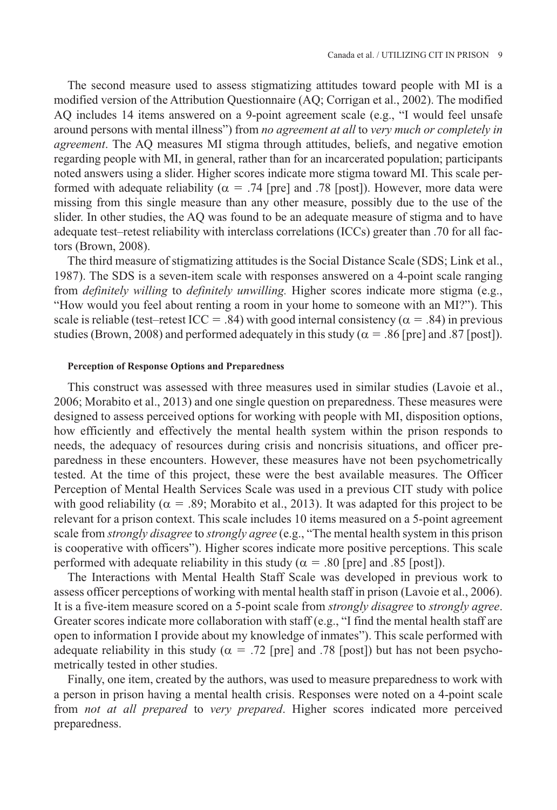The second measure used to assess stigmatizing attitudes toward people with MI is a modified version of the Attribution Questionnaire (AQ; Corrigan et al., 2002). The modified AQ includes 14 items answered on a 9-point agreement scale (e.g., "I would feel unsafe around persons with mental illness") from *no agreement at all* to *very much or completely in agreement*. The AQ measures MI stigma through attitudes, beliefs, and negative emotion regarding people with MI, in general, rather than for an incarcerated population; participants noted answers using a slider. Higher scores indicate more stigma toward MI. This scale performed with adequate reliability ( $\alpha$  = .74 [pre] and .78 [post]). However, more data were missing from this single measure than any other measure, possibly due to the use of the slider. In other studies, the AQ was found to be an adequate measure of stigma and to have adequate test–retest reliability with interclass correlations (ICCs) greater than .70 for all factors (Brown, 2008).

The third measure of stigmatizing attitudes is the Social Distance Scale (SDS; Link et al., 1987). The SDS is a seven-item scale with responses answered on a 4-point scale ranging from *definitely willing* to *definitely unwilling.* Higher scores indicate more stigma (e.g., "How would you feel about renting a room in your home to someone with an MI?"). This scale is reliable (test–retest ICC = .84) with good internal consistency ( $\alpha$  = .84) in previous studies (Brown, 2008) and performed adequately in this study ( $\alpha$  = .86 [pre] and .87 [post]).

### **Perception of Response Options and Preparedness**

This construct was assessed with three measures used in similar studies (Lavoie et al., 2006; Morabito et al., 2013) and one single question on preparedness. These measures were designed to assess perceived options for working with people with MI, disposition options, how efficiently and effectively the mental health system within the prison responds to needs, the adequacy of resources during crisis and noncrisis situations, and officer preparedness in these encounters. However, these measures have not been psychometrically tested. At the time of this project, these were the best available measures. The Officer Perception of Mental Health Services Scale was used in a previous CIT study with police with good reliability ( $\alpha = .89$ ; Morabito et al., 2013). It was adapted for this project to be relevant for a prison context. This scale includes 10 items measured on a 5-point agreement scale from *strongly disagree* to *strongly agree* (e.g., "The mental health system in this prison is cooperative with officers"). Higher scores indicate more positive perceptions. This scale performed with adequate reliability in this study ( $\alpha$  = .80 [pre] and .85 [post]).

The Interactions with Mental Health Staff Scale was developed in previous work to assess officer perceptions of working with mental health staff in prison (Lavoie et al., 2006). It is a five-item measure scored on a 5-point scale from *strongly disagree* to *strongly agree*. Greater scores indicate more collaboration with staff (e.g., "I find the mental health staff are open to information I provide about my knowledge of inmates"). This scale performed with adequate reliability in this study ( $\alpha$  = .72 [pre] and .78 [post]) but has not been psychometrically tested in other studies.

Finally, one item, created by the authors, was used to measure preparedness to work with a person in prison having a mental health crisis. Responses were noted on a 4-point scale from *not at all prepared* to *very prepared*. Higher scores indicated more perceived preparedness.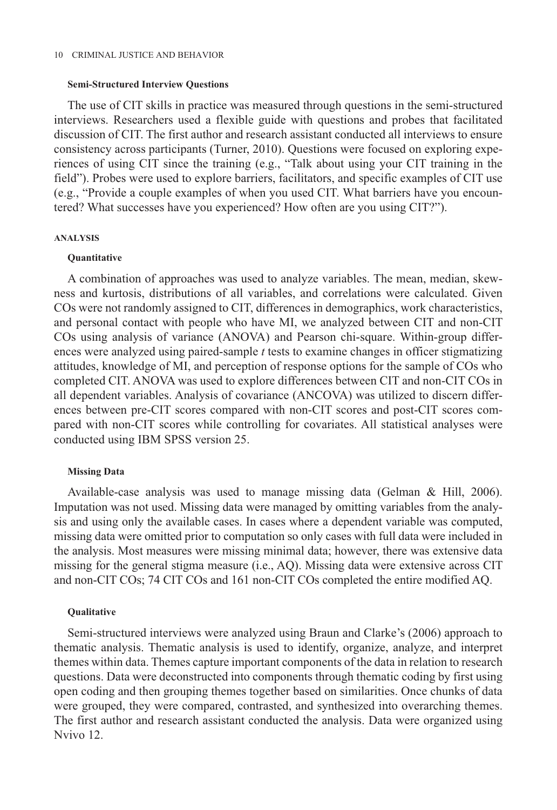#### **Semi-Structured Interview Questions**

The use of CIT skills in practice was measured through questions in the semi-structured interviews. Researchers used a flexible guide with questions and probes that facilitated discussion of CIT. The first author and research assistant conducted all interviews to ensure consistency across participants (Turner, 2010). Questions were focused on exploring experiences of using CIT since the training (e.g., "Talk about using your CIT training in the field"). Probes were used to explore barriers, facilitators, and specific examples of CIT use (e.g., "Provide a couple examples of when you used CIT. What barriers have you encountered? What successes have you experienced? How often are you using CIT?").

#### **Analysis**

#### **Quantitative**

A combination of approaches was used to analyze variables. The mean, median, skewness and kurtosis, distributions of all variables, and correlations were calculated. Given COs were not randomly assigned to CIT, differences in demographics, work characteristics, and personal contact with people who have MI, we analyzed between CIT and non-CIT COs using analysis of variance (ANOVA) and Pearson chi-square. Within-group differences were analyzed using paired-sample *t* tests to examine changes in officer stigmatizing attitudes, knowledge of MI, and perception of response options for the sample of COs who completed CIT. ANOVA was used to explore differences between CIT and non-CIT COs in all dependent variables. Analysis of covariance (ANCOVA) was utilized to discern differences between pre-CIT scores compared with non-CIT scores and post-CIT scores compared with non-CIT scores while controlling for covariates. All statistical analyses were conducted using IBM SPSS version 25.

#### **Missing Data**

Available-case analysis was used to manage missing data (Gelman & Hill, 2006). Imputation was not used. Missing data were managed by omitting variables from the analysis and using only the available cases. In cases where a dependent variable was computed, missing data were omitted prior to computation so only cases with full data were included in the analysis. Most measures were missing minimal data; however, there was extensive data missing for the general stigma measure (i.e., AQ). Missing data were extensive across CIT and non-CIT COs; 74 CIT COs and 161 non-CIT COs completed the entire modified AQ.

#### **Qualitative**

Semi-structured interviews were analyzed using Braun and Clarke's (2006) approach to thematic analysis. Thematic analysis is used to identify, organize, analyze, and interpret themes within data. Themes capture important components of the data in relation to research questions. Data were deconstructed into components through thematic coding by first using open coding and then grouping themes together based on similarities. Once chunks of data were grouped, they were compared, contrasted, and synthesized into overarching themes. The first author and research assistant conducted the analysis. Data were organized using Nvivo 12.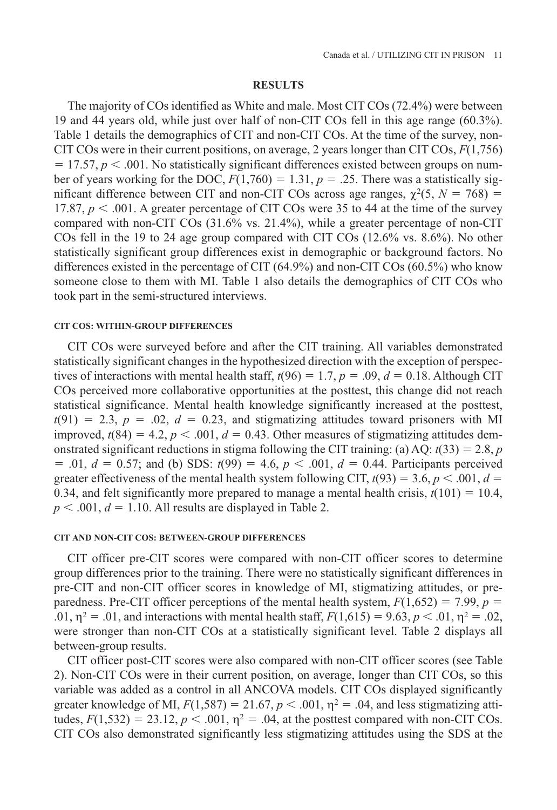#### **Results**

The majority of COs identified as White and male. Most CIT COs (72.4%) were between 19 and 44 years old, while just over half of non-CIT COs fell in this age range (60.3%). Table 1 details the demographics of CIT and non-CIT COs. At the time of the survey, non-CIT COs were in their current positions, on average, 2 years longer than CIT COs, *F*(1,756)  $= 17.57, p < .001$ . No statistically significant differences existed between groups on number of years working for the DOC,  $F(1,760) = 1.31$ ,  $p = .25$ . There was a statistically significant difference between CIT and non-CIT COs across age ranges,  $\chi^2(5, N = 768)$  = 17.87,  $p < .001$ . A greater percentage of CIT COs were 35 to 44 at the time of the survey compared with non-CIT COs (31.6% vs. 21.4%), while a greater percentage of non-CIT COs fell in the 19 to 24 age group compared with CIT COs (12.6% vs. 8.6%). No other statistically significant group differences exist in demographic or background factors. No differences existed in the percentage of CIT (64.9%) and non-CIT COs (60.5%) who know someone close to them with MI. Table 1 also details the demographics of CIT COs who took part in the semi-structured interviews.

## **CIT COs: Within-Group Differences**

CIT COs were surveyed before and after the CIT training. All variables demonstrated statistically significant changes in the hypothesized direction with the exception of perspectives of interactions with mental health staff,  $t(96) = 1.7$ ,  $p = .09$ ,  $d = 0.18$ . Although CIT COs perceived more collaborative opportunities at the posttest, this change did not reach statistical significance. Mental health knowledge significantly increased at the posttest,  $t(91) = 2.3, p = .02, d = 0.23,$  and stigmatizing attitudes toward prisoners with MI improved,  $t(84) = 4.2$ ,  $p < .001$ ,  $d = 0.43$ . Other measures of stigmatizing attitudes demonstrated significant reductions in stigma following the CIT training: (a) AQ:  $t(33) = 2.8$ , *p*  $= .01, d = 0.57$ ; and (b) SDS:  $t(99) = 4.6, p < .001, d = 0.44$ . Participants perceived greater effectiveness of the mental health system following CIT,  $t(93) = 3.6, p < .001, d =$ 0.34, and felt significantly more prepared to manage a mental health crisis,  $t(101) = 10.4$ ,  $p < .001$ ,  $d = 1.10$ . All results are displayed in Table 2.

#### **CIT and Non-CIT COs: Between-Group Differences**

CIT officer pre-CIT scores were compared with non-CIT officer scores to determine group differences prior to the training. There were no statistically significant differences in pre-CIT and non-CIT officer scores in knowledge of MI, stigmatizing attitudes, or preparedness. Pre-CIT officer perceptions of the mental health system,  $F(1,652) = 7.99$ ,  $p =$ .01,  $\eta^2 = .01$ , and interactions with mental health staff,  $F(1,615) = 9.63$ ,  $p < .01$ ,  $\eta^2 = .02$ , were stronger than non-CIT COs at a statistically significant level. Table 2 displays all between-group results.

CIT officer post-CIT scores were also compared with non-CIT officer scores (see Table 2). Non-CIT COs were in their current position, on average, longer than CIT COs, so this variable was added as a control in all ANCOVA models. CIT COs displayed significantly greater knowledge of MI,  $F(1,587) = 21.67$ ,  $p < .001$ ,  $\eta^2 = .04$ , and less stigmatizing attitudes,  $F(1,532) = 23.12$ ,  $p < .001$ ,  $\eta^2 = .04$ , at the posttest compared with non-CIT COs. CIT COs also demonstrated significantly less stigmatizing attitudes using the SDS at the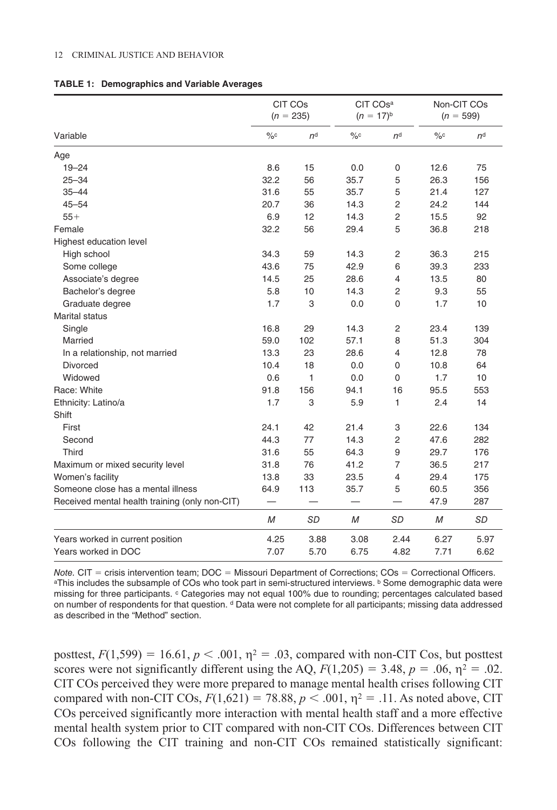#### 12 Criminal Justice and Behavior

|                                                | CIT COs<br>$(n = 235)$   |                | CIT COsa<br>$(n = 17)^{b}$ |                | Non-CIT COs<br>$(n = 599)$ |                |
|------------------------------------------------|--------------------------|----------------|----------------------------|----------------|----------------------------|----------------|
| Variable                                       | $\%c$                    | n <sup>d</sup> | $\%c$                      | n <sup>d</sup> | $\%c$                      | n <sup>d</sup> |
| Age                                            |                          |                |                            |                |                            |                |
| $19 - 24$                                      | 8.6                      | 15             | 0.0                        | 0              | 12.6                       | 75             |
| $25 - 34$                                      | 32.2                     | 56             | 35.7                       | 5              | 26.3                       | 156            |
| $35 - 44$                                      | 31.6                     | 55             | 35.7                       | 5              | 21.4                       | 127            |
| $45 - 54$                                      | 20.7                     | 36             | 14.3                       | $\overline{2}$ | 24.2                       | 144            |
| $55+$                                          | 6.9                      | 12             | 14.3                       | $\overline{2}$ | 15.5                       | 92             |
| Female                                         | 32.2                     | 56             | 29.4                       | 5              | 36.8                       | 218            |
| Highest education level                        |                          |                |                            |                |                            |                |
| High school                                    | 34.3                     | 59             | 14.3                       | $\overline{c}$ | 36.3                       | 215            |
| Some college                                   | 43.6                     | 75             | 42.9                       | 6              | 39.3                       | 233            |
| Associate's degree                             | 14.5                     | 25             | 28.6                       | 4              | 13.5                       | 80             |
| Bachelor's degree                              | 5.8                      | 10             | 14.3                       | $\overline{2}$ | 9.3                        | 55             |
| Graduate degree                                | 1.7                      | 3              | 0.0                        | $\mathbf 0$    | 1.7                        | 10             |
| Marital status                                 |                          |                |                            |                |                            |                |
| Single                                         | 16.8                     | 29             | 14.3                       | $\overline{2}$ | 23.4                       | 139            |
| Married                                        | 59.0                     | 102            | 57.1                       | 8              | 51.3                       | 304            |
| In a relationship, not married                 | 13.3                     | 23             | 28.6                       | 4              | 12.8                       | 78             |
| Divorced                                       | 10.4                     | 18             | 0.0                        | $\Omega$       | 10.8                       | 64             |
| Widowed                                        | 0.6                      | 1              | 0.0                        | $\Omega$       | 1.7                        | 10             |
| Race: White                                    | 91.8                     | 156            | 94.1                       | 16             | 95.5                       | 553            |
| Ethnicity: Latino/a                            | 1.7                      | 3              | 5.9                        | 1              | 2.4                        | 14             |
| Shift                                          |                          |                |                            |                |                            |                |
| First                                          | 24.1                     | 42             | 21.4                       | 3              | 22.6                       | 134            |
| Second                                         | 44.3                     | 77             | 14.3                       | $\overline{2}$ | 47.6                       | 282            |
| Third                                          | 31.6                     | 55             | 64.3                       | 9              | 29.7                       | 176            |
| Maximum or mixed security level                | 31.8                     | 76             | 41.2                       | 7              | 36.5                       | 217            |
| Women's facility                               | 13.8                     | 33             | 23.5                       | 4              | 29.4                       | 175            |
| Someone close has a mental illness             | 64.9                     | 113            | 35.7                       | 5              | 60.5                       | 356            |
| Received mental health training (only non-CIT) | $\overline{\phantom{0}}$ |                |                            |                | 47.9                       | 287            |
|                                                | M                        | <b>SD</b>      | M                          | <b>SD</b>      | M                          | SD             |
| Years worked in current position               | 4.25                     | 3.88           | 3.08                       | 2.44           | 6.27                       | 5.97           |
| Years worked in DOC                            | 7.07                     | 5.70           | 6.75                       | 4.82           | 7.71                       | 6.62           |

|  | <b>TABLE 1: Demographics and Variable Averages</b> |  |  |
|--|----------------------------------------------------|--|--|
|--|----------------------------------------------------|--|--|

*Note.* CIT = crisis intervention team; DOC = Missouri Department of Corrections; COs = Correctional Officers. aThis includes the subsample of COs who took part in semi-structured interviews. **b** Some demographic data were missing for three participants. <sup>c</sup> Categories may not equal 100% due to rounding; percentages calculated based on number of respondents for that question. <sup>d</sup> Data were not complete for all participants; missing data addressed as described in the "Method" section.

posttest,  $F(1,599) = 16.61$ ,  $p < .001$ ,  $\eta^2 = .03$ , compared with non-CIT Cos, but posttest scores were not significantly different using the AQ,  $F(1,205) = 3.48$ ,  $p = .06$ ,  $\eta^2 = .02$ . CIT COs perceived they were more prepared to manage mental health crises following CIT compared with non-CIT COs,  $F(1,621) = 78.88$ ,  $p < .001$ ,  $\eta^2 = .11$ . As noted above, CIT COs perceived significantly more interaction with mental health staff and a more effective mental health system prior to CIT compared with non-CIT COs. Differences between CIT COs following the CIT training and non-CIT COs remained statistically significant: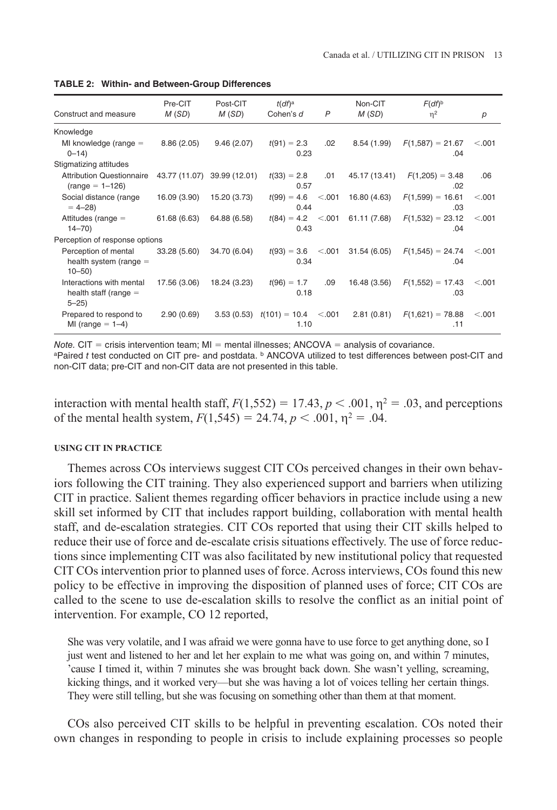| Construct and measure                                           | Pre-CIT<br>M(SD) | Post-CIT<br>M(SD) | $t(df)^a$<br>Cohen's d  | $\overline{P}$ | Non-CIT<br>M(SD) | $F(df)^b$<br>$\eta^2$     | p       |
|-----------------------------------------------------------------|------------------|-------------------|-------------------------|----------------|------------------|---------------------------|---------|
| Knowledge                                                       |                  |                   |                         |                |                  |                           |         |
| MI knowledge (range $=$<br>$0 - 14$                             | 8.86(2.05)       | 9.46(2.07)        | $t(91) = 2.3$<br>0.23   | .02            | 8.54(1.99)       | $F(1,587) = 21.67$<br>.04 | < 0.001 |
| Stigmatizing attitudes                                          |                  |                   |                         |                |                  |                           |         |
| <b>Attribution Questionnaire</b><br>$(range = 1 - 126)$         | 43.77 (11.07)    | 39.99 (12.01)     | $t(33) = 2.8$<br>0.57   | .01            | 45.17 (13.41)    | $F(1,205) = 3.48$<br>.02  | .06     |
| Social distance (range<br>$= 4 - 28$                            | 16.09 (3.90)     | 15.20 (3.73)      | $t(99) = 4.6$<br>0.44   | < .001         | 16.80 (4.63)     | $F(1,599) = 16.61$<br>.03 | < 0.001 |
| Attitudes (range $=$<br>$14 - 70$                               | 61.68 (6.63)     | 64.88 (6.58)      | $t(84) = 4.2$<br>0.43   | < 0.001        | 61.11 (7.68)     | $F(1,532) = 23.12$<br>.04 | < 0.001 |
| Perception of response options                                  |                  |                   |                         |                |                  |                           |         |
| Perception of mental<br>health system (range $=$<br>$10 - 50$   | 33.28 (5.60)     | 34.70 (6.04)      | $t(93) = 3.6$<br>0.34   | < 0.001        | 31.54 (6.05)     | $F(1,545) = 24.74$<br>.04 | < 0.001 |
| Interactions with mental<br>health staff (range $=$<br>$5 - 25$ | 17.56 (3.06)     | 18.24 (3.23)      | $t(96) = 1.7$<br>0.18   | .09            | 16.48 (3.56)     | $F(1,552) = 17.43$<br>.03 | < 0.001 |
| Prepared to respond to<br>MI (range $= 1-4$ )                   | 2.90(0.69)       | 3.53(0.53)        | $t(101) = 10.4$<br>1.10 | < 0.001        | 2.81(0.81)       | $F(1,621) = 78.88$<br>.11 | < 0.001 |

**Table 2: Within- and Between-Group Differences**

*Note.*  $CIT =$  crisis intervention team;  $MI =$  mental illnesses;  $ANCOVA =$  analysis of covariance. aPaired *t* test conducted on CIT pre- and postdata. **b** ANCOVA utilized to test differences between post-CIT and non-CIT data; pre-CIT and non-CIT data are not presented in this table.

interaction with mental health staff,  $F(1,552) = 17.43$ ,  $p < .001$ ,  $\eta^2 = .03$ , and perceptions of the mental health system,  $F(1,545) = 24.74$ ,  $p < .001$ ,  $p^2 = .04$ .

#### **Using CIT in Practice**

Themes across COs interviews suggest CIT COs perceived changes in their own behaviors following the CIT training. They also experienced support and barriers when utilizing CIT in practice. Salient themes regarding officer behaviors in practice include using a new skill set informed by CIT that includes rapport building, collaboration with mental health staff, and de-escalation strategies. CIT COs reported that using their CIT skills helped to reduce their use of force and de-escalate crisis situations effectively. The use of force reductions since implementing CIT was also facilitated by new institutional policy that requested CIT COs intervention prior to planned uses of force. Across interviews, COs found this new policy to be effective in improving the disposition of planned uses of force; CIT COs are called to the scene to use de-escalation skills to resolve the conflict as an initial point of intervention. For example, CO 12 reported,

She was very volatile, and I was afraid we were gonna have to use force to get anything done, so I just went and listened to her and let her explain to me what was going on, and within 7 minutes, 'cause I timed it, within 7 minutes she was brought back down. She wasn't yelling, screaming, kicking things, and it worked very—but she was having a lot of voices telling her certain things. They were still telling, but she was focusing on something other than them at that moment.

COs also perceived CIT skills to be helpful in preventing escalation. COs noted their own changes in responding to people in crisis to include explaining processes so people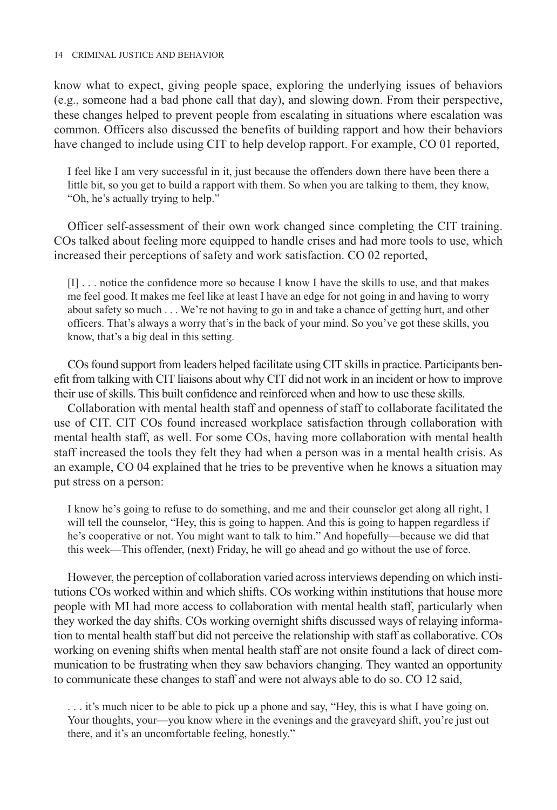know what to expect, giving people space, exploring the underlying issues of behaviors (e.g., someone had a bad phone call that day), and slowing down. From their perspective, these changes helped to prevent people from escalating in situations where escalation was common. Officers also discussed the benefits of building rapport and how their behaviors have changed to include using CIT to help develop rapport. For example, CO 01 reported,

I feel like I am very successful in it, just because the offenders down there have been there a little bit, so you get to build a rapport with them. So when you are talking to them, they know, "Oh, he's actually trying to help."

Officer self-assessment of their own work changed since completing the CIT training. COs talked about feeling more equipped to handle crises and had more tools to use, which increased their perceptions of safety and work satisfaction. CO 02 reported,

[I] . . . notice the confidence more so because I know I have the skills to use, and that makes me feel good. It makes me feel like at least I have an edge for not going in and having to worry about safety so much . . . We're not having to go in and take a chance of getting hurt, and other officers. That's always a worry that's in the back of your mind. So you've got these skills, you know, that's a big deal in this setting.

COs found support from leaders helped facilitate using CIT skills in practice. Participants benefit from talking with CIT liaisons about why CIT did not work in an incident or how to improve their use of skills. This built confidence and reinforced when and how to use these skills.

Collaboration with mental health staff and openness of staff to collaborate facilitated the use of CIT. CIT COs found increased workplace satisfaction through collaboration with mental health staff, as well. For some COs, having more collaboration with mental health staff increased the tools they felt they had when a person was in a mental health crisis. As an example, CO 04 explained that he tries to be preventive when he knows a situation may put stress on a person:

I know he's going to refuse to do something, and me and their counselor get along all right, I will tell the counselor, "Hey, this is going to happen. And this is going to happen regardless if he's cooperative or not. You might want to talk to him." And hopefully—because we did that this week—This offender, (next) Friday, he will go ahead and go without the use of force.

However, the perception of collaboration varied across interviews depending on which institutions COs worked within and which shifts. COs working within institutions that house more people with MI had more access to collaboration with mental health staff, particularly when they worked the day shifts. COs working overnight shifts discussed ways of relaying information to mental health staff but did not perceive the relationship with staff as collaborative. COs working on evening shifts when mental health staff are not onsite found a lack of direct communication to be frustrating when they saw behaviors changing. They wanted an opportunity to communicate these changes to staff and were not always able to do so. CO 12 said,

. . . it's much nicer to be able to pick up a phone and say, "Hey, this is what I have going on. Your thoughts, your—you know where in the evenings and the graveyard shift, you're just out there, and it's an uncomfortable feeling, honestly."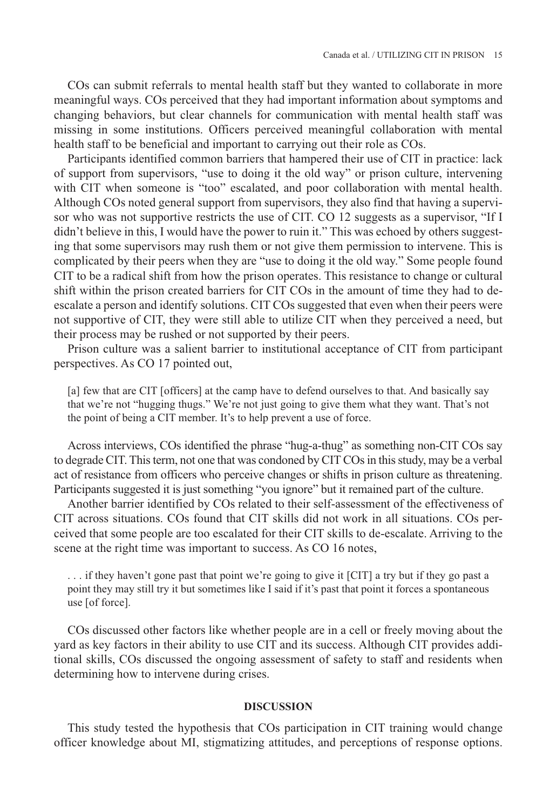COs can submit referrals to mental health staff but they wanted to collaborate in more meaningful ways. COs perceived that they had important information about symptoms and changing behaviors, but clear channels for communication with mental health staff was missing in some institutions. Officers perceived meaningful collaboration with mental health staff to be beneficial and important to carrying out their role as COs.

Participants identified common barriers that hampered their use of CIT in practice: lack of support from supervisors, "use to doing it the old way" or prison culture, intervening with CIT when someone is "too" escalated, and poor collaboration with mental health. Although COs noted general support from supervisors, they also find that having a supervisor who was not supportive restricts the use of CIT. CO 12 suggests as a supervisor, "If I didn't believe in this, I would have the power to ruin it." This was echoed by others suggesting that some supervisors may rush them or not give them permission to intervene. This is complicated by their peers when they are "use to doing it the old way." Some people found CIT to be a radical shift from how the prison operates. This resistance to change or cultural shift within the prison created barriers for CIT COs in the amount of time they had to deescalate a person and identify solutions. CIT COs suggested that even when their peers were not supportive of CIT, they were still able to utilize CIT when they perceived a need, but their process may be rushed or not supported by their peers.

Prison culture was a salient barrier to institutional acceptance of CIT from participant perspectives. As CO 17 pointed out,

[a] few that are CIT [officers] at the camp have to defend ourselves to that. And basically say that we're not "hugging thugs." We're not just going to give them what they want. That's not the point of being a CIT member. It's to help prevent a use of force.

Across interviews, COs identified the phrase "hug-a-thug" as something non-CIT COs say to degrade CIT. This term, not one that was condoned by CIT COs in this study, may be a verbal act of resistance from officers who perceive changes or shifts in prison culture as threatening. Participants suggested it is just something "you ignore" but it remained part of the culture.

Another barrier identified by COs related to their self-assessment of the effectiveness of CIT across situations. COs found that CIT skills did not work in all situations. COs perceived that some people are too escalated for their CIT skills to de-escalate. Arriving to the scene at the right time was important to success. As CO 16 notes,

. . . if they haven't gone past that point we're going to give it [CIT] a try but if they go past a point they may still try it but sometimes like I said if it's past that point it forces a spontaneous use [of force].

COs discussed other factors like whether people are in a cell or freely moving about the yard as key factors in their ability to use CIT and its success. Although CIT provides additional skills, COs discussed the ongoing assessment of safety to staff and residents when determining how to intervene during crises.

## **Discussion**

This study tested the hypothesis that COs participation in CIT training would change officer knowledge about MI, stigmatizing attitudes, and perceptions of response options.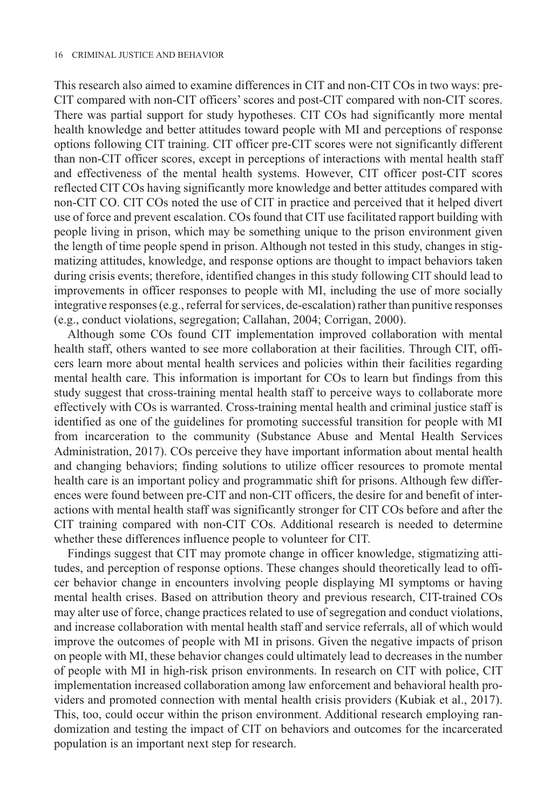This research also aimed to examine differences in CIT and non-CIT COs in two ways: pre-CIT compared with non-CIT officers' scores and post-CIT compared with non-CIT scores. There was partial support for study hypotheses. CIT COs had significantly more mental health knowledge and better attitudes toward people with MI and perceptions of response options following CIT training. CIT officer pre-CIT scores were not significantly different than non-CIT officer scores, except in perceptions of interactions with mental health staff and effectiveness of the mental health systems. However, CIT officer post-CIT scores reflected CIT COs having significantly more knowledge and better attitudes compared with non-CIT CO. CIT COs noted the use of CIT in practice and perceived that it helped divert use of force and prevent escalation. COs found that CIT use facilitated rapport building with people living in prison, which may be something unique to the prison environment given the length of time people spend in prison. Although not tested in this study, changes in stigmatizing attitudes, knowledge, and response options are thought to impact behaviors taken during crisis events; therefore, identified changes in this study following CIT should lead to improvements in officer responses to people with MI, including the use of more socially integrative responses (e.g., referral for services, de-escalation) rather than punitive responses (e.g., conduct violations, segregation; Callahan, 2004; Corrigan, 2000).

Although some COs found CIT implementation improved collaboration with mental health staff, others wanted to see more collaboration at their facilities. Through CIT, officers learn more about mental health services and policies within their facilities regarding mental health care. This information is important for COs to learn but findings from this study suggest that cross-training mental health staff to perceive ways to collaborate more effectively with COs is warranted. Cross-training mental health and criminal justice staff is identified as one of the guidelines for promoting successful transition for people with MI from incarceration to the community (Substance Abuse and Mental Health Services Administration, 2017). COs perceive they have important information about mental health and changing behaviors; finding solutions to utilize officer resources to promote mental health care is an important policy and programmatic shift for prisons. Although few differences were found between pre-CIT and non-CIT officers, the desire for and benefit of interactions with mental health staff was significantly stronger for CIT COs before and after the CIT training compared with non-CIT COs. Additional research is needed to determine whether these differences influence people to volunteer for CIT.

Findings suggest that CIT may promote change in officer knowledge, stigmatizing attitudes, and perception of response options. These changes should theoretically lead to officer behavior change in encounters involving people displaying MI symptoms or having mental health crises. Based on attribution theory and previous research, CIT-trained COs may alter use of force, change practices related to use of segregation and conduct violations, and increase collaboration with mental health staff and service referrals, all of which would improve the outcomes of people with MI in prisons. Given the negative impacts of prison on people with MI, these behavior changes could ultimately lead to decreases in the number of people with MI in high-risk prison environments. In research on CIT with police, CIT implementation increased collaboration among law enforcement and behavioral health providers and promoted connection with mental health crisis providers (Kubiak et al., 2017). This, too, could occur within the prison environment. Additional research employing randomization and testing the impact of CIT on behaviors and outcomes for the incarcerated population is an important next step for research.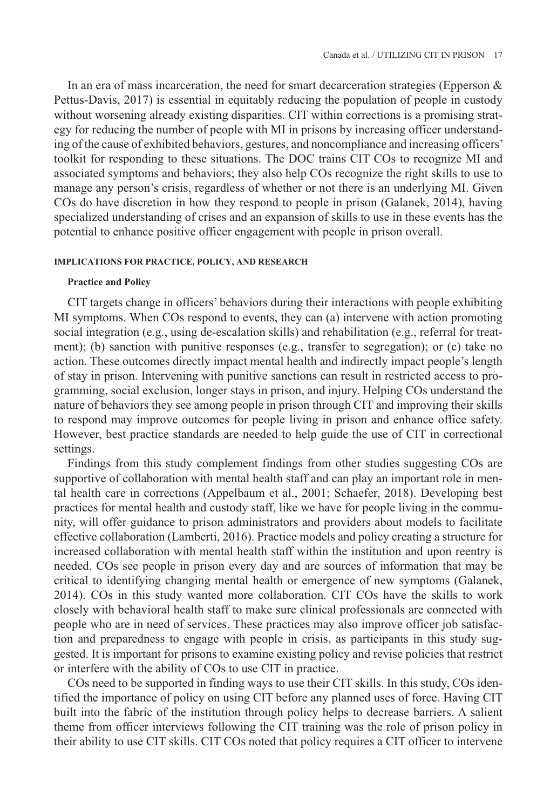In an era of mass incarceration, the need for smart decarceration strategies (Epperson & Pettus-Davis, 2017) is essential in equitably reducing the population of people in custody without worsening already existing disparities. CIT within corrections is a promising strategy for reducing the number of people with MI in prisons by increasing officer understanding of the cause of exhibited behaviors, gestures, and noncompliance and increasing officers' toolkit for responding to these situations. The DOC trains CIT COs to recognize MI and associated symptoms and behaviors; they also help COs recognize the right skills to use to manage any person's crisis, regardless of whether or not there is an underlying MI. Given COs do have discretion in how they respond to people in prison (Galanek, 2014), having specialized understanding of crises and an expansion of skills to use in these events has the potential to enhance positive officer engagement with people in prison overall.

## **Implications for Practice, Policy, and Research**

#### **Practice and Policy**

CIT targets change in officers' behaviors during their interactions with people exhibiting MI symptoms. When COs respond to events, they can (a) intervene with action promoting social integration (e.g., using de-escalation skills) and rehabilitation (e.g., referral for treatment); (b) sanction with punitive responses (e.g., transfer to segregation); or (c) take no action. These outcomes directly impact mental health and indirectly impact people's length of stay in prison. Intervening with punitive sanctions can result in restricted access to programming, social exclusion, longer stays in prison, and injury. Helping COs understand the nature of behaviors they see among people in prison through CIT and improving their skills to respond may improve outcomes for people living in prison and enhance office safety. However, best practice standards are needed to help guide the use of CIT in correctional settings.

Findings from this study complement findings from other studies suggesting COs are supportive of collaboration with mental health staff and can play an important role in mental health care in corrections (Appelbaum et al., 2001; Schaefer, 2018). Developing best practices for mental health and custody staff, like we have for people living in the community, will offer guidance to prison administrators and providers about models to facilitate effective collaboration (Lamberti, 2016). Practice models and policy creating a structure for increased collaboration with mental health staff within the institution and upon reentry is needed. COs see people in prison every day and are sources of information that may be critical to identifying changing mental health or emergence of new symptoms (Galanek, 2014). COs in this study wanted more collaboration. CIT COs have the skills to work closely with behavioral health staff to make sure clinical professionals are connected with people who are in need of services. These practices may also improve officer job satisfaction and preparedness to engage with people in crisis, as participants in this study suggested. It is important for prisons to examine existing policy and revise policies that restrict or interfere with the ability of COs to use CIT in practice.

COs need to be supported in finding ways to use their CIT skills. In this study, COs identified the importance of policy on using CIT before any planned uses of force. Having CIT built into the fabric of the institution through policy helps to decrease barriers. A salient theme from officer interviews following the CIT training was the role of prison policy in their ability to use CIT skills. CIT COs noted that policy requires a CIT officer to intervene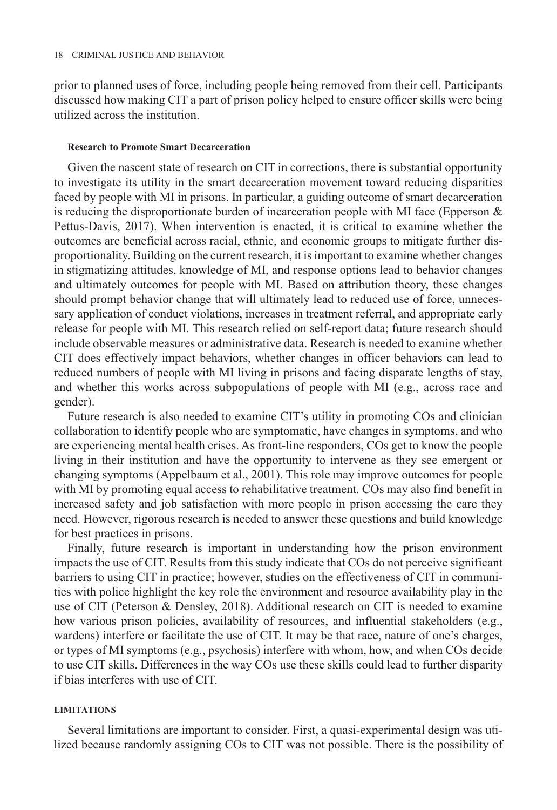prior to planned uses of force, including people being removed from their cell. Participants discussed how making CIT a part of prison policy helped to ensure officer skills were being utilized across the institution.

## **Research to Promote Smart Decarceration**

Given the nascent state of research on CIT in corrections, there is substantial opportunity to investigate its utility in the smart decarceration movement toward reducing disparities faced by people with MI in prisons. In particular, a guiding outcome of smart decarceration is reducing the disproportionate burden of incarceration people with MI face (Epperson  $\&$ Pettus-Davis, 2017). When intervention is enacted, it is critical to examine whether the outcomes are beneficial across racial, ethnic, and economic groups to mitigate further disproportionality. Building on the current research, it is important to examine whether changes in stigmatizing attitudes, knowledge of MI, and response options lead to behavior changes and ultimately outcomes for people with MI. Based on attribution theory, these changes should prompt behavior change that will ultimately lead to reduced use of force, unnecessary application of conduct violations, increases in treatment referral, and appropriate early release for people with MI. This research relied on self-report data; future research should include observable measures or administrative data. Research is needed to examine whether CIT does effectively impact behaviors, whether changes in officer behaviors can lead to reduced numbers of people with MI living in prisons and facing disparate lengths of stay, and whether this works across subpopulations of people with MI (e.g., across race and gender).

Future research is also needed to examine CIT's utility in promoting COs and clinician collaboration to identify people who are symptomatic, have changes in symptoms, and who are experiencing mental health crises. As front-line responders, COs get to know the people living in their institution and have the opportunity to intervene as they see emergent or changing symptoms (Appelbaum et al., 2001). This role may improve outcomes for people with MI by promoting equal access to rehabilitative treatment. COs may also find benefit in increased safety and job satisfaction with more people in prison accessing the care they need. However, rigorous research is needed to answer these questions and build knowledge for best practices in prisons.

Finally, future research is important in understanding how the prison environment impacts the use of CIT. Results from this study indicate that COs do not perceive significant barriers to using CIT in practice; however, studies on the effectiveness of CIT in communities with police highlight the key role the environment and resource availability play in the use of CIT (Peterson & Densley, 2018). Additional research on CIT is needed to examine how various prison policies, availability of resources, and influential stakeholders (e.g., wardens) interfere or facilitate the use of CIT. It may be that race, nature of one's charges, or types of MI symptoms (e.g., psychosis) interfere with whom, how, and when COs decide to use CIT skills. Differences in the way COs use these skills could lead to further disparity if bias interferes with use of CIT.

## **Limitations**

Several limitations are important to consider. First, a quasi-experimental design was utilized because randomly assigning COs to CIT was not possible. There is the possibility of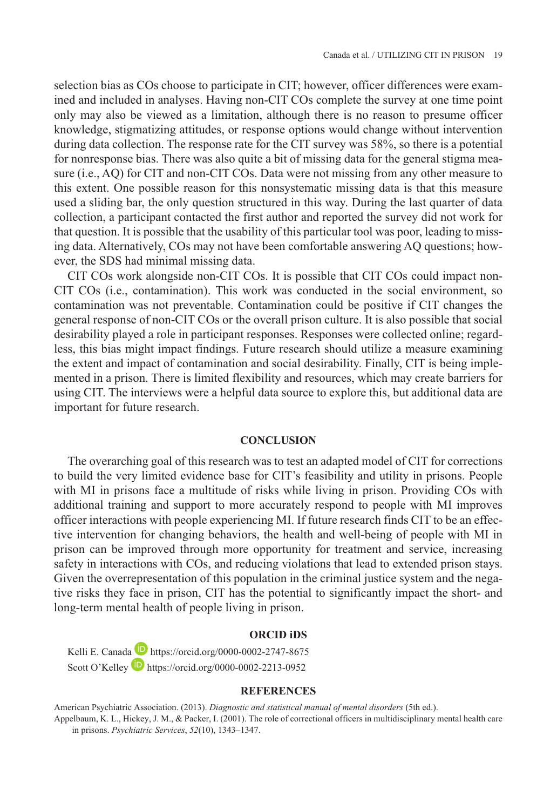selection bias as COs choose to participate in CIT; however, officer differences were examined and included in analyses. Having non-CIT COs complete the survey at one time point only may also be viewed as a limitation, although there is no reason to presume officer knowledge, stigmatizing attitudes, or response options would change without intervention during data collection. The response rate for the CIT survey was 58%, so there is a potential for nonresponse bias. There was also quite a bit of missing data for the general stigma measure (i.e., AQ) for CIT and non-CIT COs. Data were not missing from any other measure to this extent. One possible reason for this nonsystematic missing data is that this measure used a sliding bar, the only question structured in this way. During the last quarter of data collection, a participant contacted the first author and reported the survey did not work for that question. It is possible that the usability of this particular tool was poor, leading to missing data. Alternatively, COs may not have been comfortable answering AQ questions; however, the SDS had minimal missing data.

CIT COs work alongside non-CIT COs. It is possible that CIT COs could impact non-CIT COs (i.e., contamination). This work was conducted in the social environment, so contamination was not preventable. Contamination could be positive if CIT changes the general response of non-CIT COs or the overall prison culture. It is also possible that social desirability played a role in participant responses. Responses were collected online; regardless, this bias might impact findings. Future research should utilize a measure examining the extent and impact of contamination and social desirability. Finally, CIT is being implemented in a prison. There is limited flexibility and resources, which may create barriers for using CIT. The interviews were a helpful data source to explore this, but additional data are important for future research.

## **Conclusion**

The overarching goal of this research was to test an adapted model of CIT for corrections to build the very limited evidence base for CIT's feasibility and utility in prisons. People with MI in prisons face a multitude of risks while living in prison. Providing COs with additional training and support to more accurately respond to people with MI improves officer interactions with people experiencing MI. If future research finds CIT to be an effective intervention for changing behaviors, the health and well-being of people with MI in prison can be improved through more opportunity for treatment and service, increasing safety in interactions with COs, and reducing violations that lead to extended prison stays. Given the overrepresentation of this population in the criminal justice system and the negative risks they face in prison, CIT has the potential to significantly impact the short- and long-term mental health of people living in prison.

### **ORCID iDs**

Kelli E. Canada **h**ttps://orcid.org/0000-0002-2747-8675 Scott O'Kelley <https://orcid.org/0000-0002-2213-0952>

#### **References**

American Psychiatric Association. (2013). *Diagnostic and statistical manual of mental disorders* (5th ed.).

Appelbaum, K. L., Hickey, J. M., & Packer, I. (2001). The role of correctional officers in multidisciplinary mental health care in prisons. *Psychiatric Services*, *52*(10), 1343–1347.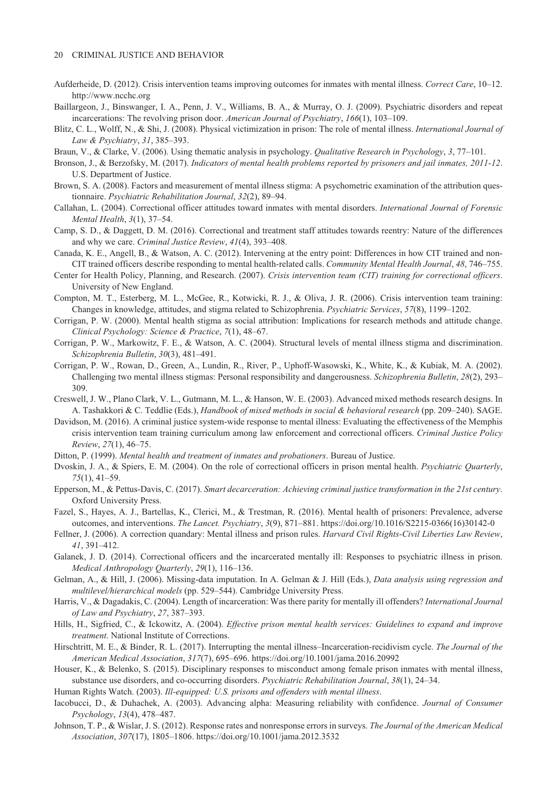#### 20 Criminal Justice and Behavior

- Aufderheide, D. (2012). Crisis intervention teams improving outcomes for inmates with mental illness. *Correct Care*, 10–12. <http://www.ncchc.org>
- Baillargeon, J., Binswanger, I. A., Penn, J. V., Williams, B. A., & Murray, O. J. (2009). Psychiatric disorders and repeat incarcerations: The revolving prison door. *American Journal of Psychiatry*, *166*(1), 103–109.
- Blitz, C. L., Wolff, N., & Shi, J. (2008). Physical victimization in prison: The role of mental illness. *International Journal of Law & Psychiatry*, *31*, 385–393.
- Braun, V., & Clarke, V. (2006). Using thematic analysis in psychology. *Qualitative Research in Psychology*, *3*, 77–101.
- Bronson, J., & Berzofsky, M. (2017). *Indicators of mental health problems reported by prisoners and jail inmates, 2011-12*. U.S. Department of Justice.
- Brown, S. A. (2008). Factors and measurement of mental illness stigma: A psychometric examination of the attribution questionnaire. *Psychiatric Rehabilitation Journal*, *32*(2), 89–94.
- Callahan, L. (2004). Correctional officer attitudes toward inmates with mental disorders. *International Journal of Forensic Mental Health*, *3*(1), 37–54.
- Camp, S. D., & Daggett, D. M. (2016). Correctional and treatment staff attitudes towards reentry: Nature of the differences and why we care. *Criminal Justice Review*, *41*(4), 393–408.
- Canada, K. E., Angell, B., & Watson, A. C. (2012). Intervening at the entry point: Differences in how CIT trained and non-CIT trained officers describe responding to mental health-related calls. *Community Mental Health Journal*, *48*, 746–755.
- Center for Health Policy, Planning, and Research. (2007). *Crisis intervention team (CIT) training for correctional officers*. University of New England.
- Compton, M. T., Esterberg, M. L., McGee, R., Kotwicki, R. J., & Oliva, J. R. (2006). Crisis intervention team training: Changes in knowledge, attitudes, and stigma related to Schizophrenia. *Psychiatric Services*, *57*(8), 1199–1202.
- Corrigan, P. W. (2000). Mental health stigma as social attribution: Implications for research methods and attitude change. *Clinical Psychology: Science & Practice*, *7*(1), 48–67.
- Corrigan, P. W., Markowitz, F. E., & Watson, A. C. (2004). Structural levels of mental illness stigma and discrimination. *Schizophrenia Bulletin*, *30*(3), 481–491.
- Corrigan, P. W., Rowan, D., Green, A., Lundin, R., River, P., Uphoff-Wasowski, K., White, K., & Kubiak, M. A. (2002). Challenging two mental illness stigmas: Personal responsibility and dangerousness. *Schizophrenia Bulletin*, *28*(2), 293– 309.
- Creswell, J. W., Plano Clark, V. L., Gutmann, M. L., & Hanson, W. E. (2003). Advanced mixed methods research designs. In A. Tashakkori & C. Teddlie (Eds.), *Handbook of mixed methods in social & behavioral research* (pp. 209–240). SAGE.
- Davidson, M. (2016). A criminal justice system-wide response to mental illness: Evaluating the effectiveness of the Memphis crisis intervention team training curriculum among law enforcement and correctional officers. *Criminal Justice Policy Review*, *27*(1), 46–75.
- Ditton, P. (1999). *Mental health and treatment of inmates and probationers*. Bureau of Justice.
- Dvoskin, J. A., & Spiers, E. M. (2004). On the role of correctional officers in prison mental health. *Psychiatric Quarterly*, *75*(1), 41–59.
- Epperson, M., & Pettus-Davis, C. (2017). *Smart decarceration: Achieving criminal justice transformation in the 21st century*. Oxford University Press.
- Fazel, S., Hayes, A. J., Bartellas, K., Clerici, M., & Trestman, R. (2016). Mental health of prisoners: Prevalence, adverse outcomes, and interventions. *The Lancet. Psychiatry*, *3*(9), 871–881. [https://doi.org/10.1016/S2215-0366\(16\)30142-0](https://doi.org/10.1016/S2215-0366(16)30142-0)
- Fellner, J. (2006). A correction quandary: Mental illness and prison rules. *Harvard Civil Rights-Civil Liberties Law Review*, *41*, 391–412.
- Galanek, J. D. (2014). Correctional officers and the incarcerated mentally ill: Responses to psychiatric illness in prison. *Medical Anthropology Quarterly*, *29*(1), 116–136.
- Gelman, A., & Hill, J. (2006). Missing-data imputation. In A. Gelman & J. Hill (Eds.), *Data analysis using regression and multilevel/hierarchical models* (pp. 529–544). Cambridge University Press.
- Harris, V., & Dagadakis, C. (2004). Length of incarceration: Was there parity for mentally ill offenders? *International Journal of Law and Psychiatry*, *27*, 387–393.
- Hills, H., Sigfried, C., & Ickowitz, A. (2004). *Effective prison mental health services: Guidelines to expand and improve treatment*. National Institute of Corrections.
- Hirschtritt, M. E., & Binder, R. L. (2017). Interrupting the mental illness–Incarceration-recidivism cycle. *The Journal of the American Medical Association*, *317*(7), 695–696. <https://doi.org/10.1001/jama.2016.20992>
- Houser, K., & Belenko, S. (2015). Disciplinary responses to misconduct among female prison inmates with mental illness, substance use disorders, and co-occurring disorders. *Psychiatric Rehabilitation Journal*, *38*(1), 24–34.

Human Rights Watch. (2003). *Ill-equipped: U.S. prisons and offenders with mental illness*.

- Iacobucci, D., & Duhachek, A. (2003). Advancing alpha: Measuring reliability with confidence. *Journal of Consumer Psychology*, *13*(4), 478–487.
- Johnson, T. P., & Wislar, J. S. (2012). Response rates and nonresponse errors in surveys. *The Journal of the American Medical Association*, *307*(17), 1805–1806. <https://doi.org/10.1001/jama.2012.3532>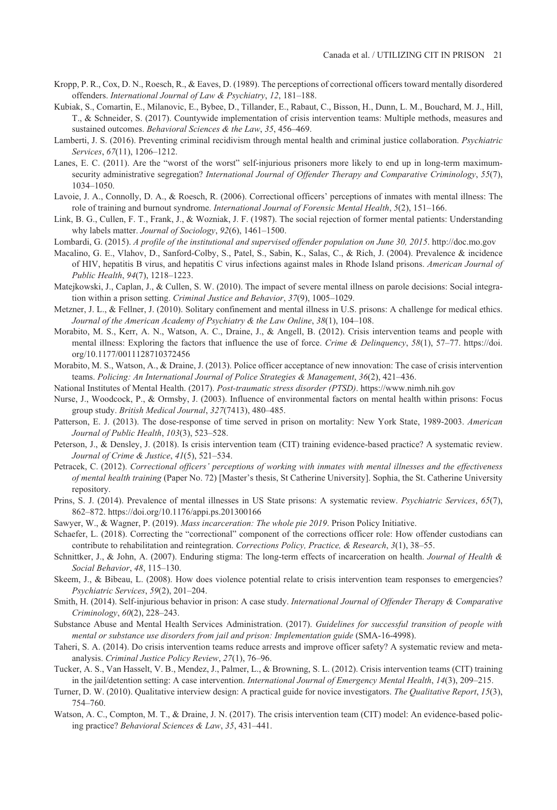- Kropp, P. R., Cox, D. N., Roesch, R., & Eaves, D. (1989). The perceptions of correctional officers toward mentally disordered offenders. *International Journal of Law & Psychiatry*, *12*, 181–188.
- Kubiak, S., Comartin, E., Milanovic, E., Bybee, D., Tillander, E., Rabaut, C., Bisson, H., Dunn, L. M., Bouchard, M. J., Hill, T., & Schneider, S. (2017). Countywide implementation of crisis intervention teams: Multiple methods, measures and sustained outcomes. *Behavioral Sciences & the Law*, *35*, 456–469.
- Lamberti, J. S. (2016). Preventing criminal recidivism through mental health and criminal justice collaboration. *Psychiatric Services*, *67*(11), 1206–1212.
- Lanes, E. C. (2011). Are the "worst of the worst" self-injurious prisoners more likely to end up in long-term maximumsecurity administrative segregation? *International Journal of Offender Therapy and Comparative Criminology*, *55*(7), 1034–1050.
- Lavoie, J. A., Connolly, D. A., & Roesch, R. (2006). Correctional officers' perceptions of inmates with mental illness: The role of training and burnout syndrome. *International Journal of Forensic Mental Health*, *5*(2), 151–166.
- Link, B. G., Cullen, F. T., Frank, J., & Wozniak, J. F. (1987). The social rejection of former mental patients: Understanding why labels matter. *Journal of Sociology*, *92*(6), 1461–1500.
- Lombardi, G. (2015). *A profile of the institutional and supervised offender population on June 30, 2015*.<http://doc.mo.gov>
- Macalino, G. E., Vlahov, D., Sanford-Colby, S., Patel, S., Sabin, K., Salas, C., & Rich, J. (2004). Prevalence & incidence of HIV, hepatitis B virus, and hepatitis C virus infections against males in Rhode Island prisons. *American Journal of Public Health*, *94*(7), 1218–1223.
- Matejkowski, J., Caplan, J., & Cullen, S. W. (2010). The impact of severe mental illness on parole decisions: Social integration within a prison setting. *Criminal Justice and Behavior*, *37*(9), 1005–1029.
- Metzner, J. L., & Fellner, J. (2010). Solitary confinement and mental illness in U.S. prisons: A challenge for medical ethics. *Journal of the American Academy of Psychiatry & the Law Online*, *38*(1), 104–108.
- Morabito, M. S., Kerr, A. N., Watson, A. C., Draine, J., & Angell, B. (2012). Crisis intervention teams and people with mental illness: Exploring the factors that influence the use of force. *Crime & Delinquency*, *58*(1), 57–77. [https://doi.](https://doi.org/10.1177/0011128710372456) [org/10.1177/0011128710372456](https://doi.org/10.1177/0011128710372456)
- Morabito, M. S., Watson, A., & Draine, J. (2013). Police officer acceptance of new innovation: The case of crisis intervention teams. *Policing: An International Journal of Police Strategies & Management*, *36*(2), 421–436.
- National Institutes of Mental Health. (2017). *Post-traumatic stress disorder (PTSD)*. <https://www.nimh.nih.gov>
- Nurse, J., Woodcock, P., & Ormsby, J. (2003). Influence of environmental factors on mental health within prisons: Focus group study. *British Medical Journal*, *327*(7413), 480–485.
- Patterson, E. J. (2013). The dose-response of time served in prison on mortality: New York State, 1989-2003. *American Journal of Public Health*, *103*(3), 523–528.
- Peterson, J., & Densley, J. (2018). Is crisis intervention team (CIT) training evidence-based practice? A systematic review. *Journal of Crime & Justice*, *41*(5), 521–534.
- Petracek, C. (2012). *Correctional officers' perceptions of working with inmates with mental illnesses and the effectiveness of mental health training* (Paper No. 72) [Master's thesis, St Catherine University]. Sophia, the St. Catherine University repository.
- Prins, S. J. (2014). Prevalence of mental illnesses in US State prisons: A systematic review. *Psychiatric Services*, *65*(7), 862–872.<https://doi.org/10.1176/appi.ps.201300166>
- Sawyer, W., & Wagner, P. (2019). *Mass incarceration: The whole pie 2019*. Prison Policy Initiative.
- Schaefer, L. (2018). Correcting the "correctional" component of the corrections officer role: How offender custodians can contribute to rehabilitation and reintegration. *Corrections Policy, Practice, & Research*, *3*(1), 38–55.
- Schnittker, J., & John, A. (2007). Enduring stigma: The long-term effects of incarceration on health. *Journal of Health & Social Behavior*, *48*, 115–130.
- Skeem, J., & Bibeau, L. (2008). How does violence potential relate to crisis intervention team responses to emergencies? *Psychiatric Services*, *59*(2), 201–204.
- Smith, H. (2014). Self-injurious behavior in prison: A case study. *International Journal of Offender Therapy & Comparative Criminology*, *60*(2), 228–243.
- Substance Abuse and Mental Health Services Administration. (2017). *Guidelines for successful transition of people with mental or substance use disorders from jail and prison: Implementation guide* (SMA-16-4998).
- Taheri, S. A. (2014). Do crisis intervention teams reduce arrests and improve officer safety? A systematic review and metaanalysis. *Criminal Justice Policy Review*, *27*(1), 76–96.
- Tucker, A. S., Van Hasselt, V. B., Mendez, J., Palmer, L., & Browning, S. L. (2012). Crisis intervention teams (CIT) training in the jail/detention setting: A case intervention. *International Journal of Emergency Mental Health*, *14*(3), 209–215.
- Turner, D. W. (2010). Qualitative interview design: A practical guide for novice investigators. *The Qualitative Report*, *15*(3), 754–760.
- Watson, A. C., Compton, M. T., & Draine, J. N. (2017). The crisis intervention team (CIT) model: An evidence-based policing practice? *Behavioral Sciences & Law*, *35*, 431–441.